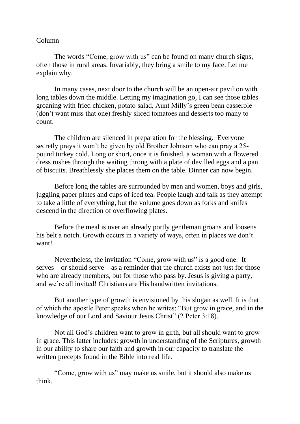## Column

The words "Come, grow with us" can be found on many church signs, often those in rural areas. Invariably, they bring a smile to my face. Let me explain why.

In many cases, next door to the church will be an open-air pavilion with long tables down the middle. Letting my imagination go, I can see those tables groaning with fried chicken, potato salad, Aunt Milly's green bean casserole (don't want miss that one) freshly sliced tomatoes and desserts too many to count.

The children are silenced in preparation for the blessing. Everyone secretly prays it won't be given by old Brother Johnson who can pray a 25 pound turkey cold. Long or short, once it is finished, a woman with a flowered dress rushes through the waiting throng with a plate of devilled eggs and a pan of biscuits. Breathlessly she places them on the table. Dinner can now begin.

Before long the tables are surrounded by men and women, boys and girls, juggling paper plates and cups of iced tea. People laugh and talk as they attempt to take a little of everything, but the volume goes down as forks and knifes descend in the direction of overflowing plates.

Before the meal is over an already portly gentleman groans and loosens his belt a notch. Growth occurs in a variety of ways, often in places we don't want!

Nevertheless, the invitation "Come, grow with us" is a good one. It serves – or should serve – as a reminder that the church exists not just for those who are already members, but for those who pass by. Jesus is giving a party, and we're all invited! Christians are His handwritten invitations.

But another type of growth is envisioned by this slogan as well. It is that of which the apostle Peter speaks when he writes: "But grow in grace, and in the knowledge of our Lord and Saviour Jesus Christ" (2 Peter 3:18).

Not all God's children want to grow in girth, but all should want to grow in grace. This latter includes: growth in understanding of the Scriptures, growth in our ability to share our faith and growth in our capacity to translate the written precepts found in the Bible into real life.

"Come, grow with us" may make us smile, but it should also make us think.